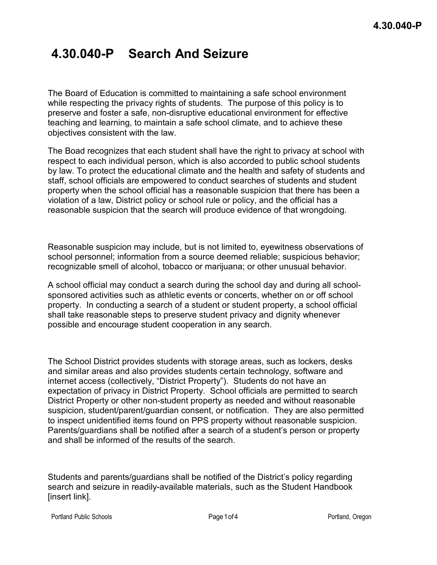## **4.30.040-P Search And Seizure**

The Board of Education is committed to maintaining a safe school environment while respecting the privacy rights of students. The purpose of this policy is to preserve and foster a safe, non-disruptive educational environment for effective teaching and learning, to maintain a safe school climate, and to achieve these objectives consistent with the law.

The Boad recognizes that each student shall have the right to privacy at school with respect to each individual person, which is also accorded to public school students by law. To protect the educational climate and the health and safety of students and staff, school officials are empowered to conduct searches of students and student property when the school official has a reasonable suspicion that there has been a violation of a law, District policy or school rule or policy, and the official has a reasonable suspicion that the search will produce evidence of that wrongdoing.

Reasonable suspicion may include, but is not limited to, eyewitness observations of school personnel; information from a source deemed reliable; suspicious behavior; recognizable smell of alcohol, tobacco or marijuana; or other unusual behavior.

A school official may conduct a search during the school day and during all schoolsponsored activities such as athletic events or concerts, whether on or off school property. In conducting a search of a student or student property, a school official shall take reasonable steps to preserve student privacy and dignity whenever possible and encourage student cooperation in any search.

The School District provides students with storage areas, such as lockers, desks and similar areas and also provides students certain technology, software and internet access (collectively, "District Property"). Students do not have an expectation of privacy in District Property. School officials are permitted to search District Property or other non-student property as needed and without reasonable suspicion, student/parent/guardian consent, or notification. They are also permitted to inspect unidentified items found on PPS property without reasonable suspicion. Parents/guardians shall be notified after a search of a student's person or property and shall be informed of the results of the search.

Students and parents/guardians shall be notified of the District's policy regarding search and seizure in readily-available materials, such as the Student Handbook [insert link].